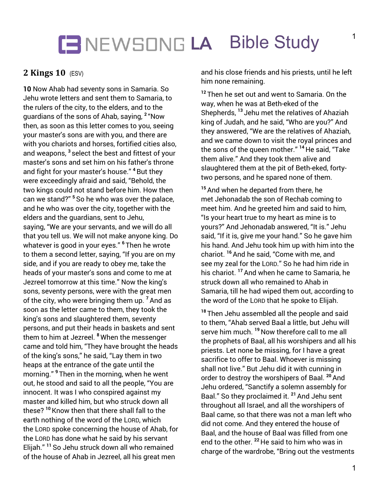## **LA** Bible Study

### **2 Kings 10** (ESV)

**10** Now Ahab had seventy sons in Samaria. So Jehu wrote letters and sent them to Samaria, to the rulers of the city, to the elders, and to the guardians of the sons of Ahab, saying, **<sup>2</sup>** "Now then, as soon as this letter comes to you, seeing your master's sons are with you, and there are with you chariots and horses, fortified cities also, and weapons, **<sup>3</sup>** select the best and fittest of your master's sons and set him on his father's throne and fight for your master's house." **<sup>4</sup>** But they were exceedingly afraid and said, "Behold, the two kings could not stand before him. How then can we stand?" **<sup>5</sup>** So he who was over the palace, and he who was over the city, together with the elders and the guardians, sent to Jehu, saying, "We are your servants, and we will do all that you tell us. We will not make anyone king. Do whatever is good in your eyes." **<sup>6</sup>** Then he wrote to them a second letter, saying, "If you are on my side, and if you are ready to obey me, take the heads of your master's sons and come to me at Jezreel tomorrow at this time." Now the king's sons, seventy persons, were with the great men of the city, who were bringing them up. **<sup>7</sup>**And as soon as the letter came to them, they took the king's sons and slaughtered them, seventy persons, and put their heads in baskets and sent them to him at Jezreel. **<sup>8</sup>** When the messenger came and told him, "They have brought the heads of the king's sons," he said, "Lay them in two heaps at the entrance of the gate until the morning." **<sup>9</sup>** Then in the morning, when he went out, he stood and said to all the people, "You are innocent. It was I who conspired against my master and killed him, but who struck down all these? **<sup>10</sup>**Know then that there shall fall to the earth nothing of the word of the LORD, which the LORD spoke concerning the house of Ahab, for the LORD has done what he said by his servant Elijah." **<sup>11</sup>** So Jehu struck down all who remained of the house of Ahab in Jezreel, all his great men

and his close friends and his priests, until he left him none remaining.

**<sup>12</sup>** Then he set out and went to Samaria. On the way, when he was at Beth-eked of the Shepherds, **<sup>13</sup>** Jehu met the relatives of Ahaziah king of Judah, and he said, "Who are you?" And they answered, "We are the relatives of Ahaziah, and we came down to visit the royal princes and the sons of the queen mother." **<sup>14</sup>** He said, "Take them alive." And they took them alive and slaughtered them at the pit of Beth-eked, fortytwo persons, and he spared none of them.

**<sup>15</sup>**And when he departed from there, he met Jehonadab the son of Rechab coming to meet him. And he greeted him and said to him, "Is your heart true to my heart as mine is to yours?" And Jehonadab answered, "It is." Jehu said, "If it is, give me your hand." So he gave him his hand. And Jehu took him up with him into the chariot. **<sup>16</sup>**And he said, "Come with me, and see my zeal for the LORD." So he had him ride in his chariot. **<sup>17</sup>**And when he came to Samaria, he struck down all who remained to Ahab in Samaria, till he had wiped them out, according to the word of the LORD that he spoke to Elijah.

**<sup>18</sup>** Then Jehu assembled all the people and said to them, "Ahab served Baal a little, but Jehu will serve him much. **<sup>19</sup>** Now therefore call to me all the prophets of Baal, all his worshipers and all his priests. Let none be missing, for I have a great sacrifice to offer to Baal. Whoever is missing shall not live." But Jehu did it with cunning in order to destroy the worshipers of Baal. **<sup>20</sup>**And Jehu ordered, "Sanctify a solemn assembly for Baal." So they proclaimed it. **<sup>21</sup>**And Jehu sent throughout all Israel, and all the worshipers of Baal came, so that there was not a man left who did not come. And they entered the house of Baal, and the house of Baal was filled from one end to the other. **<sup>22</sup>** He said to him who was in charge of the wardrobe, "Bring out the vestments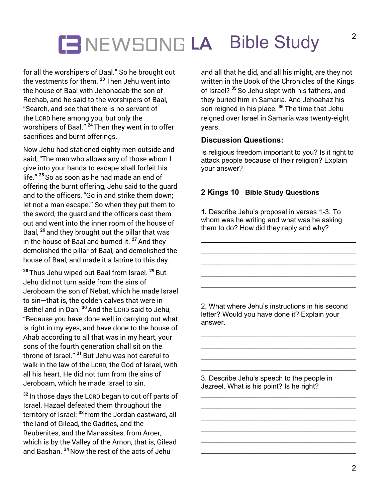# **LA** Bible Study

for all the worshipers of Baal." So he brought out the vestments for them. **<sup>23</sup>** Then Jehu went into the house of Baal with Jehonadab the son of Rechab, and he said to the worshipers of Baal, "Search, and see that there is no servant of the LORD here among you, but only the worshipers of Baal." **<sup>24</sup>** Then they went in to offer sacrifices and burnt offerings.

Now Jehu had stationed eighty men outside and said, "The man who allows any of those whom I give into your hands to escape shall forfeit his life." **<sup>25</sup>** So as soon as he had made an end of offering the burnt offering, Jehu said to the guard and to the officers, "Go in and strike them down; let not a man escape." So when they put them to the sword, the guard and the officers cast them out and went into the inner room of the house of Baal, **<sup>26</sup>** and they brought out the pillar that was in the house of Baal and burned it. **<sup>27</sup>**And they demolished the pillar of Baal, and demolished the house of Baal, and made it a latrine to this day.

**<sup>28</sup>** Thus Jehu wiped out Baal from Israel. **<sup>29</sup>** But Jehu did not turn aside from the sins of Jeroboam the son of Nebat, which he made Israel to sin—that is, the golden calves that were in Bethel and in Dan. **<sup>30</sup>**And the LORD said to Jehu, "Because you have done well in carrying out what is right in my eyes, and have done to the house of Ahab according to all that was in my heart, your sons of the fourth generation shall sit on the throne of Israel." **<sup>31</sup>** But Jehu was not careful to walk in the law of the LORD, the God of Israel, with all his heart. He did not turn from the sins of Jeroboam, which he made Israel to sin.

**<sup>32</sup>** In those days the LORD began to cut off parts of Israel. Hazael defeated them throughout the territory of Israel: **<sup>33</sup>** from the Jordan eastward, all the land of Gilead, the Gadites, and the Reubenites, and the Manassites, from Aroer, which is by the Valley of the Arnon, that is, Gilead and Bashan. **<sup>34</sup>** Now the rest of the acts of Jehu

and all that he did, and all his might, are they not written in the Book of the Chronicles of the Kings of Israel? **<sup>35</sup>** So Jehu slept with his fathers, and they buried him in Samaria. And Jehoahaz his son reigned in his place. **<sup>36</sup>** The time that Jehu reigned over Israel in Samaria was twenty-eight years.

#### **Discussion Questions:**

Is religious freedom important to you? Is it right to attack people because of their religion? Explain your answer?

### **2 Kings 10 Bible Study Questions**

**1.** Describe Jehu's proposal in verses 1-3. To whom was he writing and what was he asking them to do? How did they reply and why?

\_\_\_\_\_\_\_\_\_\_\_\_\_\_\_\_\_\_\_\_\_\_\_\_\_\_\_\_\_\_\_\_\_\_\_\_\_\_\_\_

\_\_\_\_\_\_\_\_\_\_\_\_\_\_\_\_\_\_\_\_\_\_\_\_\_\_\_\_\_\_\_\_\_\_\_\_\_\_\_\_

\_\_\_\_\_\_\_\_\_\_\_\_\_\_\_\_\_\_\_\_\_\_\_\_\_\_\_\_\_\_\_\_\_\_\_\_\_\_\_\_

2. What where Jehu's instructions in his second letter? Would you have done it? Explain your answer.

\_\_\_\_\_\_\_\_\_\_\_\_\_\_\_\_\_\_\_\_\_\_\_\_\_\_\_\_\_\_\_\_\_\_\_\_\_\_\_\_ \_\_\_\_\_\_\_\_\_\_\_\_\_\_\_\_\_\_\_\_\_\_\_\_\_\_\_\_\_\_\_\_\_\_\_\_\_\_\_\_ \_\_\_\_\_\_\_\_\_\_\_\_\_\_\_\_\_\_\_\_\_\_\_\_\_\_\_\_\_\_\_\_\_\_\_\_\_\_\_\_ \_\_\_\_\_\_\_\_\_\_\_\_\_\_\_\_\_\_\_\_\_\_\_\_\_\_\_\_\_\_\_\_\_\_\_\_\_\_\_\_

\_\_\_\_\_\_\_\_\_\_\_\_\_\_\_\_\_\_\_\_\_\_\_\_\_\_\_\_\_\_\_\_\_\_\_\_\_\_\_\_ \_\_\_\_\_\_\_\_\_\_\_\_\_\_\_\_\_\_\_\_\_\_\_\_\_\_\_\_\_\_\_\_\_\_\_\_\_\_\_\_ \_\_\_\_\_\_\_\_\_\_\_\_\_\_\_\_\_\_\_\_\_\_\_\_\_\_\_\_\_\_\_\_\_\_\_\_\_\_\_\_ \_\_\_\_\_\_\_\_\_\_\_\_\_\_\_\_\_\_\_\_\_\_\_\_\_\_\_\_\_\_\_\_\_\_\_\_\_\_\_\_ \_\_\_\_\_\_\_\_\_\_\_\_\_\_\_\_\_\_\_\_\_\_\_\_\_\_\_\_\_\_\_\_\_\_\_\_\_\_\_\_ \_\_\_\_\_\_\_\_\_\_\_\_\_\_\_\_\_\_\_\_\_\_\_\_\_\_\_\_\_\_\_\_\_\_\_\_\_\_\_\_

3. Describe Jehu's speech to the people in Jezreel. What is his point? Is he right?